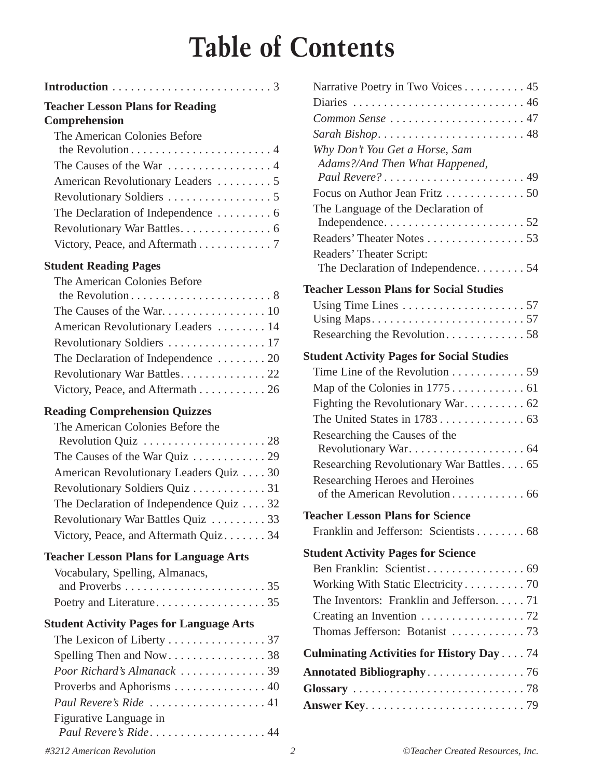# **Table of Contents**

| <b>Teacher Lesson Plans for Reading</b>                |
|--------------------------------------------------------|
| Comprehension                                          |
| The American Colonies Before                           |
|                                                        |
| The Causes of the War $\dots\dots\dots\dots\dots\dots$ |
|                                                        |
|                                                        |
| The Declaration of Independence $\dots\dots\dots$ 6    |
| Revolutionary War Battles. 6                           |
| Victory, Peace, and Aftermath 7                        |
| <b>Student Reading Pages</b>                           |
| The American Colonies Refore                           |

| The American Colonies Before                                     |
|------------------------------------------------------------------|
| the Revolution $\dots \dots \dots \dots \dots \dots \dots \dots$ |
|                                                                  |
| American Revolutionary Leaders  14                               |
|                                                                  |
| The Declaration of Independence $\dots \dots \dots 20$           |
|                                                                  |
| Victory, Peace, and Aftermath 26                                 |

## **Reading Comprehension Quizzes**

| The American Colonies Before the        |
|-----------------------------------------|
|                                         |
|                                         |
| American Revolutionary Leaders Quiz 30  |
| Revolutionary Soldiers Quiz 31          |
| The Declaration of Independence Quiz 32 |
| Revolutionary War Battles Quiz  33      |
| Victory, Peace, and Aftermath Quiz 34   |

### **Teacher Lesson Plans for Language Arts**

| Vocabulary, Spelling, Almanacs, |  |
|---------------------------------|--|
|                                 |  |
|                                 |  |

### **Student Activity Pages for Language Arts**

| The Lexicon of Liberty 37  |  |
|----------------------------|--|
|                            |  |
| Poor Richard's Almanack 39 |  |
| Proverbs and Aphorisms 40  |  |
| Paul Revere's Ride  41     |  |
| Figurative Language in     |  |
| Paul Revere's Ride44       |  |
|                            |  |

| Narrative Poetry in Two Voices 45                                                  |
|------------------------------------------------------------------------------------|
|                                                                                    |
| Common Sense 47                                                                    |
| Sarah Bishop48                                                                     |
| Why Don't You Get a Horse, Sam<br>Adams?/And Then What Happened,<br>Paul Revere?49 |
| Focus on Author Jean Fritz 50                                                      |
| The Language of the Declaration of                                                 |
|                                                                                    |
| Readers' Theater Notes 53                                                          |
| Readers' Theater Script:                                                           |
| The Declaration of Independence54                                                  |
| <b>Teacher Lesson Plans for Social Studies</b>                                     |
| Using Time Lines $\dots \dots \dots \dots \dots \dots \dots 57$                    |
| Using Maps. $\dots \dots \dots \dots \dots \dots \dots \dots \dots 57$             |
| Researching the Revolution58                                                       |
| <b>Student Activity Pages for Social Studies</b>                                   |
| Time Line of the Revolution 59                                                     |
|                                                                                    |
| Fighting the Revolutionary War. 62                                                 |
|                                                                                    |
| Researching the Causes of the                                                      |
|                                                                                    |
| Researching Revolutionary War Battles 65                                           |
| Researching Heroes and Heroines                                                    |
| of the American Revolution 66                                                      |
| <b>Teacher Lesson Plans for Science</b>                                            |
| Franklin and Jefferson: Scientists 68                                              |
| <b>Student Activity Pages for Science</b>                                          |
|                                                                                    |
| Working With Static Electricity 70                                                 |
| The Inventors: Franklin and Jefferson. 71                                          |
| Creating an Invention $\dots \dots \dots \dots \dots \dots$ 72                     |
|                                                                                    |
| <b>Culminating Activities for History Day74</b>                                    |
|                                                                                    |
|                                                                                    |
|                                                                                    |
|                                                                                    |
|                                                                                    |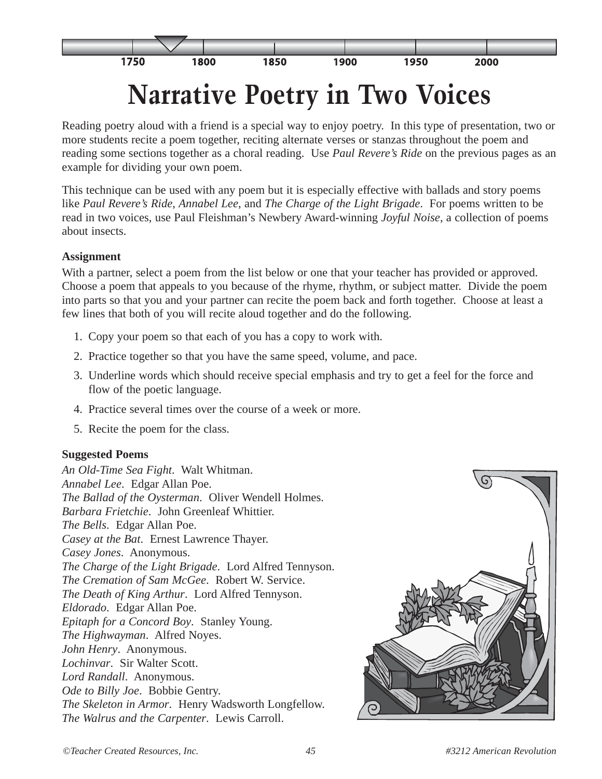

## **Narrative Poetry in Two Voices**

Reading poetry aloud with a friend is a special way to enjoy poetry. In this type of presentation, two or more students recite a poem together, reciting alternate verses or stanzas throughout the poem and reading some sections together as a choral reading. Use *Paul Revere's Ride* on the previous pages as an example for dividing your own poem.

This technique can be used with any poem but it is especially effective with ballads and story poems like *Paul Revere's Ride*, *Annabel Lee*, and *The Charge of the Light Brigade*. For poems written to be read in two voices, use Paul Fleishman's Newbery Award-winning *Joyful Noise*, a collection of poems about insects.

#### **Assignment**

With a partner, select a poem from the list below or one that your teacher has provided or approved. Choose a poem that appeals to you because of the rhyme, rhythm, or subject matter. Divide the poem into parts so that you and your partner can recite the poem back and forth together. Choose at least a few lines that both of you will recite aloud together and do the following.

- 1. Copy your poem so that each of you has a copy to work with.
- 2. Practice together so that you have the same speed, volume, and pace.
- 3. Underline words which should receive special emphasis and try to get a feel for the force and flow of the poetic language.
- 4. Practice several times over the course of a week or more.
- 5. Recite the poem for the class.

#### **Suggested Poems**

*An Old-Time Sea Fight*. Walt Whitman. *Annabel Lee*. Edgar Allan Poe. *The Ballad of the Oysterman*. Oliver Wendell Holmes. *Barbara Frietchie*. John Greenleaf Whittier. *The Bells*. Edgar Allan Poe. *Casey at the Bat*. Ernest Lawrence Thayer. *Casey Jones*. Anonymous. *The Charge of the Light Brigade*. Lord Alfred Tennyson. *The Cremation of Sam McGee*. Robert W. Service. *The Death of King Arthur*. Lord Alfred Tennyson. *Eldorado*. Edgar Allan Poe. *Epitaph for a Concord Boy*. Stanley Young. *The Highwayman*. Alfred Noyes. *John Henry*. Anonymous. *Lochinvar*. Sir Walter Scott. *Lord Randall*. Anonymous. *Ode to Billy Joe*. Bobbie Gentry. *The Skeleton in Armor*. Henry Wadsworth Longfellow. *The Walrus and the Carpenter*. Lewis Carroll.